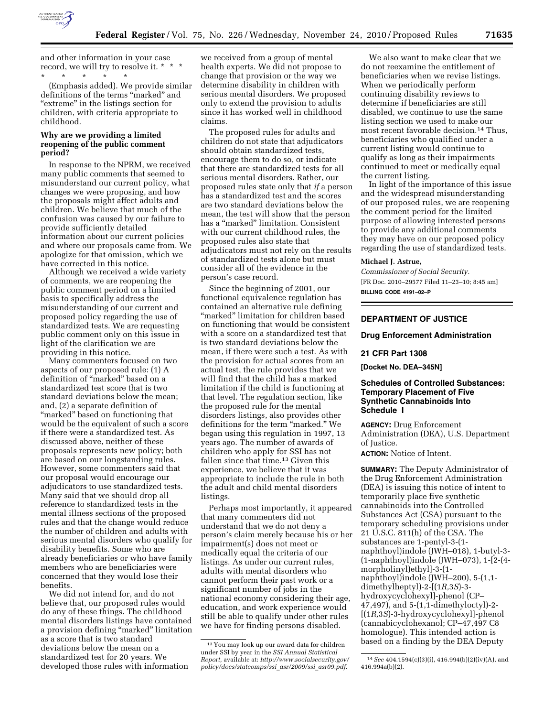

and other information in your case record, we will try to resolve it. \* \* \* \* \* \* \* \*

(Emphasis added). We provide similar definitions of the terms ''marked'' and "extreme" in the listings section for children, with criteria appropriate to childhood.

## **Why are we providing a limited reopening of the public comment period?**

In response to the NPRM, we received many public comments that seemed to misunderstand our current policy, what changes we were proposing, and how the proposals might affect adults and children. We believe that much of the confusion was caused by our failure to provide sufficiently detailed information about our current policies and where our proposals came from. We apologize for that omission, which we have corrected in this notice.

Although we received a wide variety of comments, we are reopening the public comment period on a limited basis to specifically address the misunderstanding of our current and proposed policy regarding the use of standardized tests. We are requesting public comment only on this issue in light of the clarification we are providing in this notice.

Many commenters focused on two aspects of our proposed rule: (1) A definition of ''marked'' based on a standardized test score that is two standard deviations below the mean; and, (2) a separate definition of "marked" based on functioning that would be the equivalent of such a score if there were a standardized test. As discussed above, neither of these proposals represents new policy; both are based on our longstanding rules. However, some commenters said that our proposal would encourage our adjudicators to use standardized tests. Many said that we should drop all reference to standardized tests in the mental illness sections of the proposed rules and that the change would reduce the number of children and adults with serious mental disorders who qualify for disability benefits. Some who are already beneficiaries or who have family members who are beneficiaries were concerned that they would lose their benefits.

We did not intend for, and do not believe that, our proposed rules would do any of these things. The childhood mental disorders listings have contained a provision defining ''marked'' limitation as a score that is two standard deviations below the mean on a standardized test for 20 years. We developed those rules with information

we received from a group of mental health experts. We did not propose to change that provision or the way we determine disability in children with serious mental disorders. We proposed only to extend the provision to adults since it has worked well in childhood claims.

The proposed rules for adults and children do not state that adjudicators should obtain standardized tests, encourage them to do so, or indicate that there are standardized tests for all serious mental disorders. Rather, our proposed rules state only that *if* a person has a standardized test and the scores are two standard deviations below the mean, the test will show that the person has a ''marked'' limitation. Consistent with our current childhood rules, the proposed rules also state that adjudicators must not rely on the results of standardized tests alone but must consider all of the evidence in the person's case record.

Since the beginning of 2001, our functional equivalence regulation has contained an alternative rule defining ''marked'' limitation for children based on functioning that would be consistent with a score on a standardized test that is two standard deviations below the mean, if there were such a test. As with the provision for actual scores from an actual test, the rule provides that we will find that the child has a marked limitation if the child is functioning at that level. The regulation section, like the proposed rule for the mental disorders listings, also provides other definitions for the term "marked." We began using this regulation in 1997, 13 years ago. The number of awards of children who apply for SSI has not fallen since that time.13 Given this experience, we believe that it was appropriate to include the rule in both the adult and child mental disorders listings.

Perhaps most importantly, it appeared that many commenters did not understand that we do not deny a person's claim merely because his or her impairment(s) does not meet or medically equal the criteria of our listings. As under our current rules, adults with mental disorders who cannot perform their past work or a significant number of jobs in the national economy considering their age, education, and work experience would still be able to qualify under other rules we have for finding persons disabled.

We also want to make clear that we do not reexamine the entitlement of beneficiaries when we revise listings. When we periodically perform continuing disability reviews to determine if beneficiaries are still disabled, we continue to use the same listing section we used to make our most recent favorable decision.14 Thus, beneficiaries who qualified under a current listing would continue to qualify as long as their impairments continued to meet or medically equal the current listing.

In light of the importance of this issue and the widespread misunderstanding of our proposed rules, we are reopening the comment period for the limited purpose of allowing interested persons to provide any additional comments they may have on our proposed policy regarding the use of standardized tests.

#### **Michael J. Astrue,**

*Commissioner of Social Security.*  [FR Doc. 2010–29577 Filed 11–23–10; 8:45 am] **BILLING CODE 4191–02–P** 

## **DEPARTMENT OF JUSTICE**

## **Drug Enforcement Administration**

### **21 CFR Part 1308**

**[Docket No. DEA–345N]** 

## **Schedules of Controlled Substances: Temporary Placement of Five Synthetic Cannabinoids Into Schedule I**

**AGENCY:** Drug Enforcement Administration (DEA), U.S. Department of Justice.

**ACTION:** Notice of Intent.

**SUMMARY:** The Deputy Administrator of the Drug Enforcement Administration (DEA) is issuing this notice of intent to temporarily place five synthetic cannabinoids into the Controlled Substances Act (CSA) pursuant to the temporary scheduling provisions under 21 U.S.C. 811(h) of the CSA. The substances are 1-pentyl-3-(1 naphthoyl)indole (JWH–018), 1-butyl-3- (1-naphthoyl)indole (JWH–073), 1-[2-(4 morpholinyl)ethyl]-3-(1 naphthoyl)indole (JWH–200), 5-(1,1 dimethylheptyl)-2-[(1*R,*3*S*)-3 hydroxycyclohexyl]-phenol (CP– 47,497), and 5-(1,1-dimethyloctyl)-2- [(1*R,*3*S*)-3-hydroxycyclohexyl]-phenol (cannabicyclohexanol; CP–47,497 C8 homologue). This intended action is based on a finding by the DEA Deputy

<sup>13</sup> You may look up our award data for children under SSI by year in the *SSI Annual Statistical Report,* available at: *[http://www.socialsecurity.gov/](http://www.socialsecurity.gov/policy/docs/statcomps/ssi_asr/2009/ssi_asr09.pdf)  [policy/docs/statcomps/ssi](http://www.socialsecurity.gov/policy/docs/statcomps/ssi_asr/2009/ssi_asr09.pdf)*\_*asr/2009/ssi*\_*asr09.pdf.* 

<sup>14</sup>*See* 404.1594(c)(3)(i), 416.994(b)(2)(iv)(A), and 416.994a(b)(2).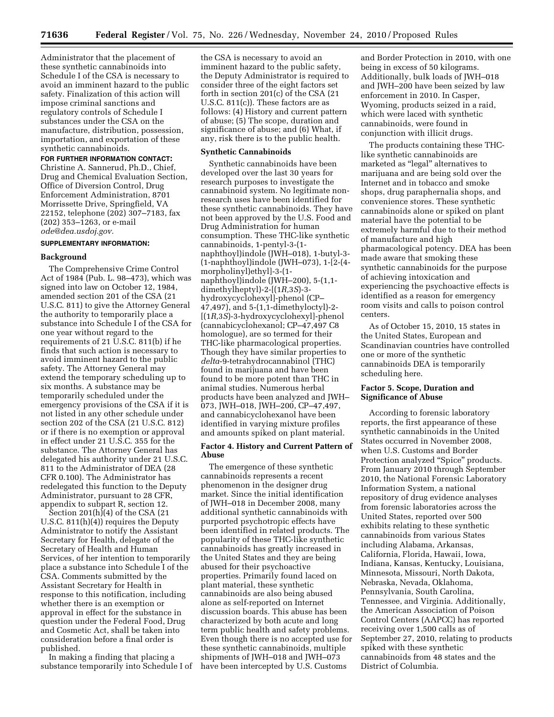Administrator that the placement of these synthetic cannabinoids into Schedule I of the CSA is necessary to avoid an imminent hazard to the public safety. Finalization of this action will impose criminal sanctions and regulatory controls of Schedule I substances under the CSA on the manufacture, distribution, possession, importation, and exportation of these synthetic cannabinoids.

# **FOR FURTHER INFORMATION CONTACT:**

Christine A. Sannerud, Ph.D., Chief, Drug and Chemical Evaluation Section, Office of Diversion Control, Drug Enforcement Administration, 8701 Morrissette Drive, Springfield, VA 22152, telephone (202) 307–7183, fax (202) 353–1263, or e-mail *[ode@dea.usdoj.gov.](mailto:ode@dea.usdoj.gov)* 

#### **SUPPLEMENTARY INFORMATION:**

#### **Background**

The Comprehensive Crime Control Act of 1984 (Pub. L. 98–473), which was signed into law on October 12, 1984, amended section 201 of the CSA (21 U.S.C. 811) to give the Attorney General the authority to temporarily place a substance into Schedule I of the CSA for one year without regard to the requirements of 21 U.S.C. 811(b) if he finds that such action is necessary to avoid imminent hazard to the public safety. The Attorney General may extend the temporary scheduling up to six months. A substance may be temporarily scheduled under the emergency provisions of the CSA if it is not listed in any other schedule under section 202 of the CSA (21 U.S.C. 812) or if there is no exemption or approval in effect under 21 U.S.C. 355 for the substance. The Attorney General has delegated his authority under 21 U.S.C. 811 to the Administrator of DEA (28 CFR 0.100). The Administrator has redelegated this function to the Deputy Administrator, pursuant to 28 CFR, appendix to subpart R, section 12.

Section 201(h)(4) of the CSA (21 U.S.C. 811(h)(4)) requires the Deputy Administrator to notify the Assistant Secretary for Health, delegate of the Secretary of Health and Human Services, of her intention to temporarily place a substance into Schedule I of the CSA. Comments submitted by the Assistant Secretary for Health in response to this notification, including whether there is an exemption or approval in effect for the substance in question under the Federal Food, Drug and Cosmetic Act, shall be taken into consideration before a final order is published.

In making a finding that placing a substance temporarily into Schedule I of

the CSA is necessary to avoid an imminent hazard to the public safety, the Deputy Administrator is required to consider three of the eight factors set forth in section 201(c) of the CSA (21 U.S.C. 811(c)). These factors are as follows: (4) History and current pattern of abuse; (5) The scope, duration and significance of abuse; and (6) What, if any, risk there is to the public health.

#### **Synthetic Cannabinoids**

Synthetic cannabinoids have been developed over the last 30 years for research purposes to investigate the cannabinoid system. No legitimate nonresearch uses have been identified for these synthetic cannabinoids. They have not been approved by the U.S. Food and Drug Administration for human consumption. These THC-like synthetic cannabinoids, 1-pentyl-3-(1 naphthoyl)indole (JWH–018), 1-butyl-3- (1-naphthoyl)indole (JWH–073), 1-[2-(4 morpholinyl)ethyl]-3-(1 naphthoyl)indole (JWH–200), 5-(1,1 dimethylheptyl)-2-[(1*R,*3*S*)-3 hydroxycyclohexyl]-phenol (CP– 47,497), and 5-(1,1-dimethyloctyl)-2- [(1*R,*3*S*)-3-hydroxycyclohexyl]-phenol (cannabicyclohexanol; CP–47,497 C8 homologue), are so termed for their THC-like pharmacological properties. Though they have similar properties to *delta*-9-tetrahydrocannabinol (THC) found in marijuana and have been found to be more potent than THC in animal studies. Numerous herbal products have been analyzed and JWH– 073, JWH–018, JWH–200, CP–47,497, and cannabicyclohexanol have been identified in varying mixture profiles and amounts spiked on plant material.

### **Factor 4. History and Current Pattern of Abuse**

The emergence of these synthetic cannabinoids represents a recent phenomenon in the designer drug market. Since the initial identification of JWH–018 in December 2008, many additional synthetic cannabinoids with purported psychotropic effects have been identified in related products. The popularity of these THC-like synthetic cannabinoids has greatly increased in the United States and they are being abused for their psychoactive properties. Primarily found laced on plant material, these synthetic cannabinoids are also being abused alone as self-reported on Internet discussion boards. This abuse has been characterized by both acute and long term public health and safety problems. Even though there is no accepted use for these synthetic cannabinoids, multiple shipments of JWH–018 and JWH–073 have been intercepted by U.S. Customs

and Border Protection in 2010, with one being in excess of 50 kilograms. Additionally, bulk loads of JWH–018 and JWH–200 have been seized by law enforcement in 2010. In Casper, Wyoming, products seized in a raid, which were laced with synthetic cannabinoids, were found in conjunction with illicit drugs.

The products containing these THClike synthetic cannabinoids are marketed as ''legal'' alternatives to marijuana and are being sold over the Internet and in tobacco and smoke shops, drug paraphernalia shops, and convenience stores. These synthetic cannabinoids alone or spiked on plant material have the potential to be extremely harmful due to their method of manufacture and high pharmacological potency. DEA has been made aware that smoking these synthetic cannabinoids for the purpose of achieving intoxication and experiencing the psychoactive effects is identified as a reason for emergency room visits and calls to poison control centers.

As of October 15, 2010, 15 states in the United States, European and Scandinavian countries have controlled one or more of the synthetic cannabinoids DEA is temporarily scheduling here.

# **Factor 5. Scope, Duration and Significance of Abuse**

According to forensic laboratory reports, the first appearance of these synthetic cannabinoids in the United States occurred in November 2008, when U.S. Customs and Border Protection analyzed "Spice" products. From January 2010 through September 2010, the National Forensic Laboratory Information System, a national repository of drug evidence analyses from forensic laboratories across the United States, reported over 500 exhibits relating to these synthetic cannabinoids from various States including Alabama, Arkansas, California, Florida, Hawaii, Iowa, Indiana, Kansas, Kentucky, Louisiana, Minnesota, Missouri, North Dakota, Nebraska, Nevada, Oklahoma, Pennsylvania, South Carolina, Tennessee, and Virginia. Additionally, the American Association of Poison Control Centers (AAPCC) has reported receiving over 1,500 calls as of September 27, 2010, relating to products spiked with these synthetic cannabinoids from 48 states and the District of Columbia.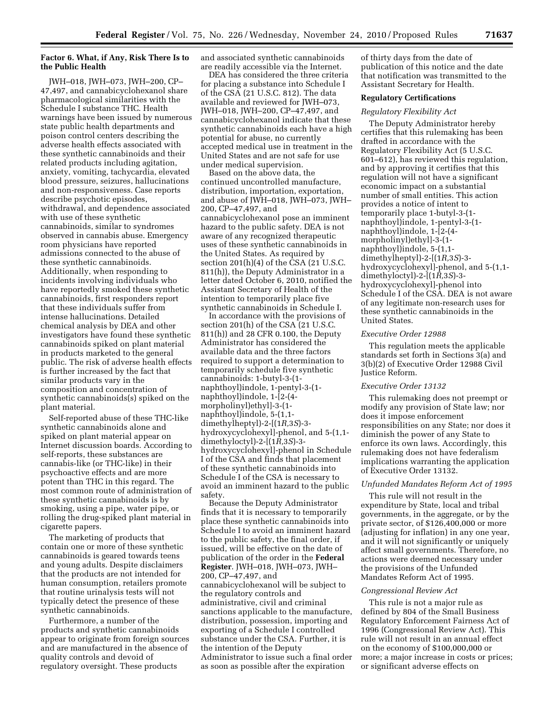## **Factor 6. What, if Any, Risk There Is to the Public Health**

JWH–018, JWH–073, JWH–200, CP– 47,497, and cannabicyclohexanol share pharmacological similarities with the Schedule I substance THC. Health warnings have been issued by numerous state public health departments and poison control centers describing the adverse health effects associated with these synthetic cannabinoids and their related products including agitation, anxiety, vomiting, tachycardia, elevated blood pressure, seizures, hallucinations and non-responsiveness. Case reports describe psychotic episodes, withdrawal, and dependence associated with use of these synthetic cannabinoids, similar to syndromes observed in cannabis abuse. Emergency room physicians have reported admissions connected to the abuse of these synthetic cannabinoids. Additionally, when responding to incidents involving individuals who have reportedly smoked these synthetic cannabinoids, first responders report that these individuals suffer from intense hallucinations. Detailed chemical analysis by DEA and other investigators have found these synthetic cannabinoids spiked on plant material in products marketed to the general public. The risk of adverse health effects is further increased by the fact that similar products vary in the composition and concentration of synthetic cannabinoids(s) spiked on the plant material.

Self-reported abuse of these THC-like synthetic cannabinoids alone and spiked on plant material appear on Internet discussion boards. According to self-reports, these substances are cannabis-like (or THC-like) in their psychoactive effects and are more potent than THC in this regard. The most common route of administration of these synthetic cannabinoids is by smoking, using a pipe, water pipe, or rolling the drug-spiked plant material in cigarette papers.

The marketing of products that contain one or more of these synthetic cannabinoids is geared towards teens and young adults. Despite disclaimers that the products are not intended for human consumption, retailers promote that routine urinalysis tests will not typically detect the presence of these synthetic cannabinoids.

Furthermore, a number of the products and synthetic cannabinoids appear to originate from foreign sources and are manufactured in the absence of quality controls and devoid of regulatory oversight. These products

and associated synthetic cannabinoids are readily accessible via the Internet.

DEA has considered the three criteria for placing a substance into Schedule I of the CSA (21 U.S.C. 812). The data available and reviewed for JWH–073, JWH–018, JWH–200, CP–47,497, and cannabicyclohexanol indicate that these synthetic cannabinoids each have a high potential for abuse, no currently accepted medical use in treatment in the United States and are not safe for use under medical supervision.

Based on the above data, the continued uncontrolled manufacture, distribution, importation, exportation, and abuse of JWH–018, JWH–073, JWH– 200, CP–47,497, and cannabicyclohexanol pose an imminent hazard to the public safety. DEA is not aware of any recognized therapeutic uses of these synthetic cannabinoids in the United States. As required by section 201(h)(4) of the CSA (21 U.S.C. 811(h)), the Deputy Administrator in a letter dated October 6, 2010, notified the Assistant Secretary of Health of the intention to temporarily place five synthetic cannabinoids in Schedule I.

In accordance with the provisions of section 201(h) of the CSA (21 U.S.C. 811(h)) and 28 CFR 0.100, the Deputy Administrator has considered the available data and the three factors required to support a determination to temporarily schedule five synthetic cannabinoids: 1-butyl-3-(1 naphthoyl)indole, 1-pentyl-3-(1 naphthoyl)indole, 1-[2-(4 morpholinyl)ethyl]-3-(1 naphthoyl)indole, 5-(1,1 dimethylheptyl)-2-[(1*R,*3*S*)-3 hydroxycyclohexyl]-phenol, and 5-(1,1 dimethyloctyl)-2-[(1*R,*3*S*)-3 hydroxycyclohexyl]-phenol in Schedule I of the CSA and finds that placement of these synthetic cannabinoids into Schedule I of the CSA is necessary to avoid an imminent hazard to the public safety.

Because the Deputy Administrator finds that it is necessary to temporarily place these synthetic cannabinoids into Schedule I to avoid an imminent hazard to the public safety, the final order, if issued, will be effective on the date of publication of the order in the **Federal Register**. JWH–018, JWH–073, JWH– 200, CP–47,497, and cannabicyclohexanol will be subject to the regulatory controls and administrative, civil and criminal sanctions applicable to the manufacture, distribution, possession, importing and exporting of a Schedule I controlled substance under the CSA. Further, it is the intention of the Deputy Administrator to issue such a final order as soon as possible after the expiration

of thirty days from the date of publication of this notice and the date that notification was transmitted to the Assistant Secretary for Health.

### **Regulatory Certifications**

#### *Regulatory Flexibility Act*

The Deputy Administrator hereby certifies that this rulemaking has been drafted in accordance with the Regulatory Flexibility Act (5 U.S.C. 601–612), has reviewed this regulation, and by approving it certifies that this regulation will not have a significant economic impact on a substantial number of small entities. This action provides a notice of intent to temporarily place 1-butyl-3-(1 naphthoyl)indole, 1-pentyl-3-(1 naphthoyl)indole, 1-[2-(4 morpholinyl)ethyl]-3-(1 naphthoyl)indole, 5-(1,1 dimethylheptyl)-2-[(1*R,*3*S*)-3 hydroxycyclohexyl]-phenol, and 5-(1,1 dimethyloctyl)-2-[(1*R,*3*S*)-3 hydroxycyclohexyl]-phenol into Schedule I of the CSA. DEA is not aware of any legitimate non-research uses for these synthetic cannabinoids in the United States.

#### *Executive Order 12988*

This regulation meets the applicable standards set forth in Sections 3(a) and 3(b)(2) of Executive Order 12988 Civil Justice Reform.

### *Executive Order 13132*

This rulemaking does not preempt or modify any provision of State law; nor does it impose enforcement responsibilities on any State; nor does it diminish the power of any State to enforce its own laws. Accordingly, this rulemaking does not have federalism implications warranting the application of Executive Order 13132.

#### *Unfunded Mandates Reform Act of 1995*

This rule will not result in the expenditure by State, local and tribal governments, in the aggregate, or by the private sector, of \$126,400,000 or more (adjusting for inflation) in any one year, and it will not significantly or uniquely affect small governments. Therefore, no actions were deemed necessary under the provisions of the Unfunded Mandates Reform Act of 1995.

#### *Congressional Review Act*

This rule is not a major rule as defined by 804 of the Small Business Regulatory Enforcement Fairness Act of 1996 (Congressional Review Act). This rule will not result in an annual effect on the economy of \$100,000,000 or more; a major increase in costs or prices; or significant adverse effects on